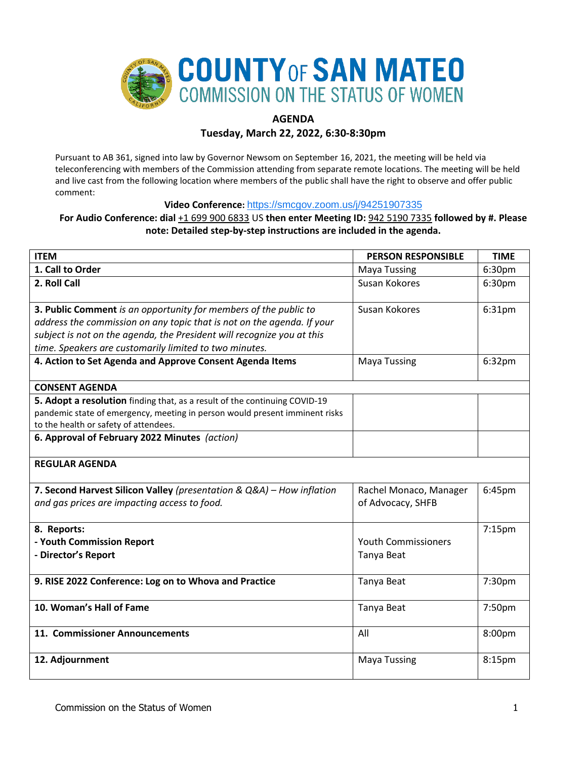

# **AGENDA**

**Tuesday, March 22, 2022, 6:30-8:30pm**

Pursuant to AB 361, signed into law by Governor Newsom on September 16, 2021, the meeting will be held via teleconferencing with members of the Commission attending from separate remote locations. The meeting will be held and live cast from the following location where members of the public shall have the right to observe and offer public comment:

**Video Conference:** <https://smcgov.zoom.us/j/94251907335>

# **For Audio Conference: dial** +1 699 900 6833 US **then enter Meeting ID:** 942 5190 7335 **followed by #. Please note: Detailed step-by-step instructions are included in the agenda.**

| <b>ITEM</b>                                                                 | <b>PERSON RESPONSIBLE</b>  | <b>TIME</b> |
|-----------------------------------------------------------------------------|----------------------------|-------------|
| 1. Call to Order                                                            | <b>Maya Tussing</b>        | 6:30pm      |
| 2. Roll Call                                                                | Susan Kokores              | 6:30pm      |
|                                                                             |                            |             |
| 3. Public Comment is an opportunity for members of the public to            | Susan Kokores              | 6:31pm      |
| address the commission on any topic that is not on the agenda. If your      |                            |             |
| subject is not on the agenda, the President will recognize you at this      |                            |             |
| time. Speakers are customarily limited to two minutes.                      |                            |             |
| 4. Action to Set Agenda and Approve Consent Agenda Items                    | <b>Maya Tussing</b>        | 6:32pm      |
| <b>CONSENT AGENDA</b>                                                       |                            |             |
| 5. Adopt a resolution finding that, as a result of the continuing COVID-19  |                            |             |
| pandemic state of emergency, meeting in person would present imminent risks |                            |             |
| to the health or safety of attendees.                                       |                            |             |
| 6. Approval of February 2022 Minutes (action)                               |                            |             |
|                                                                             |                            |             |
| <b>REGULAR AGENDA</b>                                                       |                            |             |
|                                                                             |                            |             |
| 7. Second Harvest Silicon Valley (presentation & Q&A) - How inflation       | Rachel Monaco, Manager     | 6:45pm      |
| and gas prices are impacting access to food.                                | of Advocacy, SHFB          |             |
| 8. Reports:                                                                 |                            | $7:15$ pm   |
| - Youth Commission Report                                                   | <b>Youth Commissioners</b> |             |
| - Director's Report                                                         | Tanya Beat                 |             |
|                                                                             |                            |             |
| 9. RISE 2022 Conference: Log on to Whova and Practice                       | Tanya Beat                 | 7:30pm      |
|                                                                             |                            |             |
| 10. Woman's Hall of Fame                                                    | Tanya Beat                 | 7:50pm      |
|                                                                             |                            |             |
| 11. Commissioner Announcements                                              | All                        | 8:00pm      |
|                                                                             |                            |             |
| 12. Adjournment                                                             | <b>Maya Tussing</b>        | 8:15pm      |
|                                                                             |                            |             |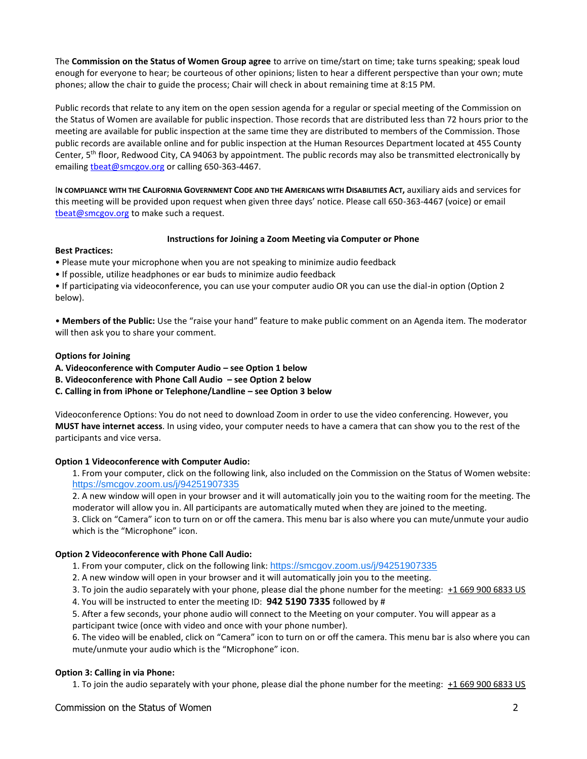The **Commission on the Status of Women Group agree** to arrive on time/start on time; take turns speaking; speak loud enough for everyone to hear; be courteous of other opinions; listen to hear a different perspective than your own; mute phones; allow the chair to guide the process; Chair will check in about remaining time at 8:15 PM.

Public records that relate to any item on the open session agenda for a regular or special meeting of the Commission on the Status of Women are available for public inspection. Those records that are distributed less than 72 hours prior to the meeting are available for public inspection at the same time they are distributed to members of the Commission. Those public records are available online and for public inspection at the Human Resources Department located at 455 County Center,  $5<sup>th</sup>$  floor, Redwood City, CA 94063 by appointment. The public records may also be transmitted electronically by emailing theat@smcgov.org or calling 650-363-4467.

I**N COMPLIANCE WITH THE CALIFORNIA GOVERNMENT CODE AND THE AMERICANS WITH DISABILITIES ACT,** auxiliary aids and services for this meeting will be provided upon request when given three days' notice. Please call 650-363-4467 (voice) or email [tbeat@smcgov.org](mailto:tbeat@smcgov.org) to make such a request.

#### **Instructions for Joining a Zoom Meeting via Computer or Phone**

#### **Best Practices:**

- Please mute your microphone when you are not speaking to minimize audio feedback
- If possible, utilize headphones or ear buds to minimize audio feedback

• If participating via videoconference, you can use your computer audio OR you can use the dial-in option (Option 2 below).

• **Members of the Public:** Use the "raise your hand" feature to make public comment on an Agenda item. The moderator will then ask you to share your comment.

#### **Options for Joining**

**A. Videoconference with Computer Audio – see Option 1 below** 

**B. Videoconference with Phone Call Audio – see Option 2 below** 

**C. Calling in from iPhone or Telephone/Landline – see Option 3 below**

Videoconference Options: You do not need to download Zoom in order to use the video conferencing. However, you **MUST have internet access**. In using video, your computer needs to have a camera that can show you to the rest of the participants and vice versa.

## **Option 1 Videoconference with Computer Audio:**

1. From your computer, click on the following link, also included on the Commission on the Status of Women website: <https://smcgov.zoom.us/j/94251907335>

2. A new window will open in your browser and it will automatically join you to the waiting room for the meeting. The moderator will allow you in. All participants are automatically muted when they are joined to the meeting.

3. Click on "Camera" icon to turn on or off the camera. This menu bar is also where you can mute/unmute your audio which is the "Microphone" icon.

## **Option 2 Videoconference with Phone Call Audio:**

1. From your computer, click on the following link: <https://smcgov.zoom.us/j/94251907335>

- 2. A new window will open in your browser and it will automatically join you to the meeting.
- 3. To join the audio separately with your phone, please dial the phone number for the meeting: +1 669 900 6833 US
- 4. You will be instructed to enter the meeting ID: **942 5190 7335** followed by #

5. After a few seconds, your phone audio will connect to the Meeting on your computer. You will appear as a participant twice (once with video and once with your phone number).

6. The video will be enabled, click on "Camera" icon to turn on or off the camera. This menu bar is also where you can mute/unmute your audio which is the "Microphone" icon.

## **Option 3: Calling in via Phone:**

1. To join the audio separately with your phone, please dial the phone number for the meeting: +1 669 900 6833 US

Commission on the Status of Women 2